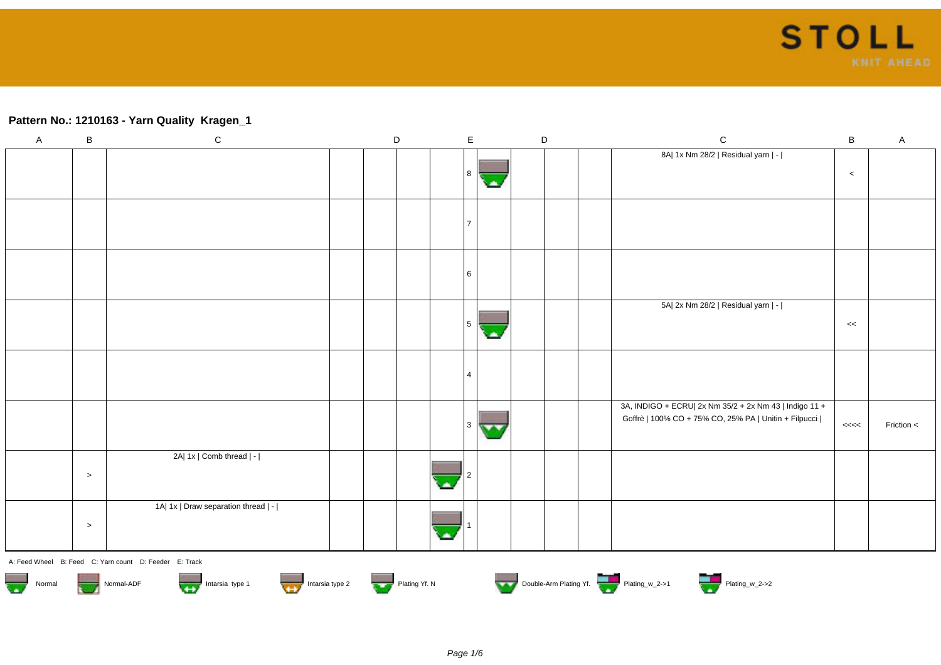#### **Pattern No.: 1210163 - Yarn Quality Kragen\_1**

| $\mathsf A$                                                                                        | $\, {\bf B}$ | ${\bf C}$                                              |  | $\mathsf D$ |  | $\mathsf E$ |        |  | D |  | $\mathsf C$                                                                                                     | $\, {\bf B}$ | $\mathsf A$ |
|----------------------------------------------------------------------------------------------------|--------------|--------------------------------------------------------|--|-------------|--|-------------|--------|--|---|--|-----------------------------------------------------------------------------------------------------------------|--------------|-------------|
|                                                                                                    |              |                                                        |  |             |  | 8           | ٠      |  |   |  | 8A  1x Nm 28/2   Residual yarn   -                                                                              | $\,<\,$      |             |
|                                                                                                    |              |                                                        |  |             |  | 17          |        |  |   |  |                                                                                                                 |              |             |
|                                                                                                    |              |                                                        |  |             |  | l 6         |        |  |   |  |                                                                                                                 |              |             |
|                                                                                                    |              |                                                        |  |             |  | 5           | с.     |  |   |  | 5A  2x Nm 28/2   Residual yarn   -                                                                              | <<           |             |
|                                                                                                    |              |                                                        |  |             |  | l 4         |        |  |   |  |                                                                                                                 |              |             |
|                                                                                                    |              |                                                        |  |             |  | l 3         | $\sim$ |  |   |  | 3A, INDIGO + ECRU  2x Nm 35/2 + 2x Nm 43   Indigo 11 +<br>Goffrè   100% CO + 75% CO, 25% PA   Unitin + Filpucci | <<<          | Friction <  |
|                                                                                                    | $\geq$       | 2A  1x   Comb thread   -                               |  |             |  |             |        |  |   |  |                                                                                                                 |              |             |
|                                                                                                    | $\,>$        | 1A  1x   Draw separation thread   -                    |  |             |  |             |        |  |   |  |                                                                                                                 |              |             |
|                                                                                                    |              | A: Feed Wheel B: Feed C: Yarn count D: Feeder E: Track |  |             |  |             |        |  |   |  |                                                                                                                 |              |             |
| Double-Arm Plating Yf.<br>Intarsia type 1 Intarsia type 2<br>Normal<br>Plating Yf. N<br>Normal-ADF |              |                                                        |  |             |  |             |        |  |   |  |                                                                                                                 |              |             |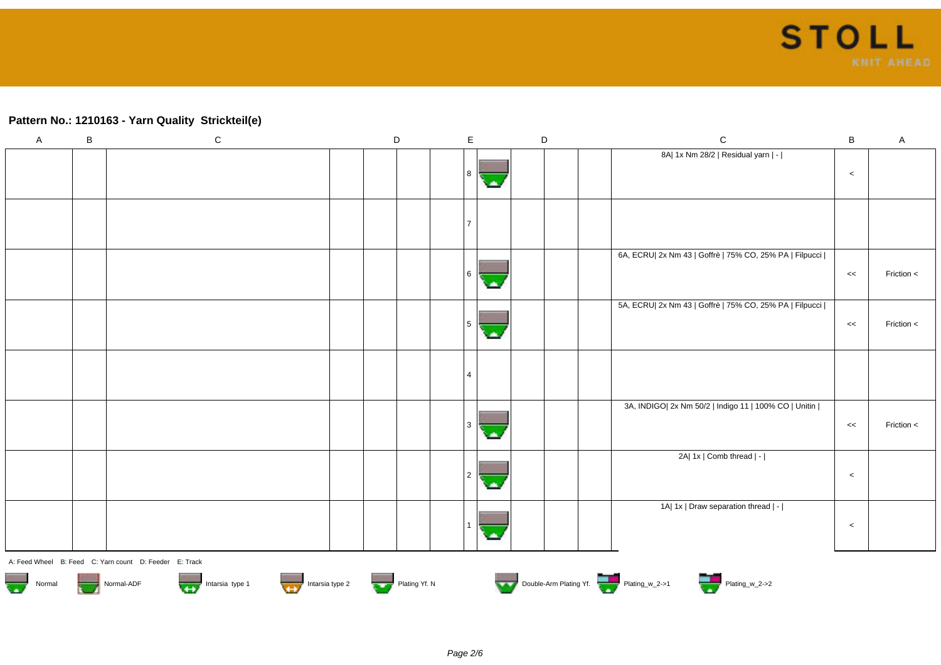### **Pattern No.: 1210163 - Yarn Quality Strickteil(e)**

| $\mathsf{A}$                                                                                 | B | $\mathsf C$                                            |  | $\mathsf D$ |     | $\mathsf E$   |  | D |  | $\mathsf C$                                             | $\mathsf B$ | A          |
|----------------------------------------------------------------------------------------------|---|--------------------------------------------------------|--|-------------|-----|---------------|--|---|--|---------------------------------------------------------|-------------|------------|
|                                                                                              |   |                                                        |  |             |     | 8<br>a.       |  |   |  | 8A  1x Nm 28/2   Residual yarn   -                      | $\,<\,$     |            |
|                                                                                              |   |                                                        |  |             | 17  |               |  |   |  |                                                         |             |            |
|                                                                                              |   |                                                        |  |             |     | 6<br>٠        |  |   |  | 6A, ECRU  2x Nm 43   Goffrè   75% CO, 25% PA   Filpucci | $\,<\,$     | Friction < |
|                                                                                              |   |                                                        |  |             |     | 5<br>$\Delta$ |  |   |  | 5A, ECRU  2x Nm 43   Goffrè   75% CO, 25% PA   Filpucci | <<          | Friction < |
|                                                                                              |   |                                                        |  |             | l 4 |               |  |   |  |                                                         |             |            |
|                                                                                              |   |                                                        |  |             |     | 3<br><b>A</b> |  |   |  | 3A, INDIGO  2x Nm 50/2   Indigo 11   100% CO   Unitin   | <<          | Friction < |
|                                                                                              |   |                                                        |  |             | 2   | ٠             |  |   |  | 2A  1x   Comb thread   -                                | $\,<$       |            |
|                                                                                              |   |                                                        |  |             | -1  |               |  |   |  | 1A  1x   Draw separation thread   -                     | $\,<$       |            |
|                                                                                              |   | A: Feed Wheel B: Feed C: Yarn count D: Feeder E: Track |  |             |     |               |  |   |  |                                                         |             |            |
| Double-Arm Plating Yf.<br>Normal-ADF Intarsia type 1 Intarsia type 2 Plating Yf. N<br>Normal |   |                                                        |  |             |     |               |  |   |  |                                                         |             |            |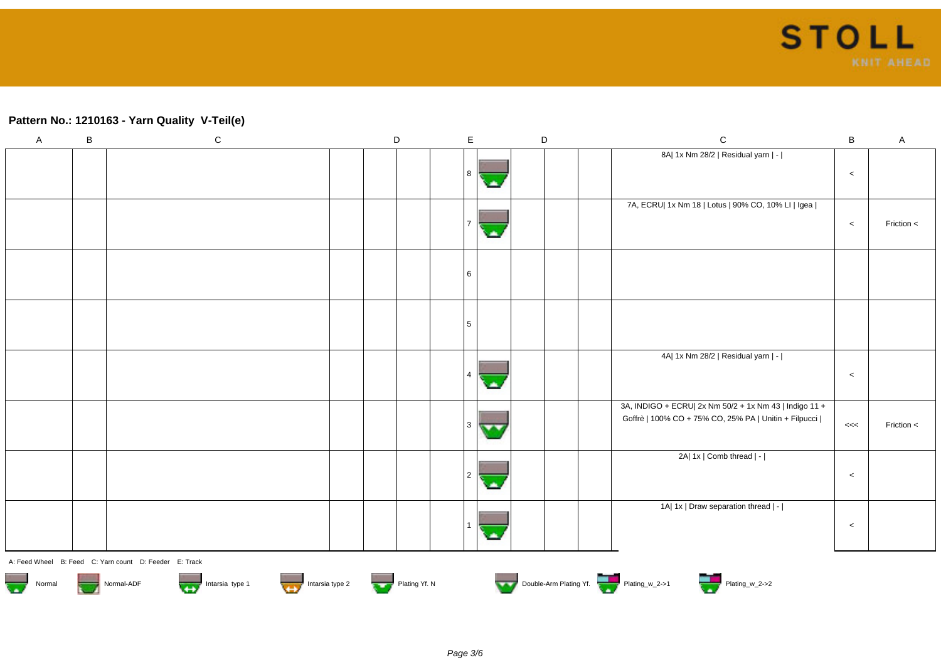#### **Pattern No.: 1210163 - Yarn Quality V-Teil(e)**

| $\mathsf{A}$                      | B | ${\bf C}$                                              | $\mathsf D$   | $\mathsf E$ | D | $\mathsf C$                                                                                                     | $\sf{B}$ | $\mathsf{A}$ |
|-----------------------------------|---|--------------------------------------------------------|---------------|-------------|---|-----------------------------------------------------------------------------------------------------------------|----------|--------------|
|                                   |   |                                                        |               | 8 ا<br>×    |   | 8A  1x Nm 28/2   Residual yarn   -                                                                              | $\,<$    |              |
|                                   |   |                                                        |               | ما          |   | 7A, ECRU  1x Nm 18   Lotus   90% CO, 10% LI   Igea                                                              | $\,<$    | Friction <   |
|                                   |   |                                                        |               | 16          |   |                                                                                                                 |          |              |
|                                   |   |                                                        |               | 5           |   |                                                                                                                 |          |              |
|                                   |   |                                                        |               | <b>als</b>  |   | 4A  1x Nm 28/2   Residual yarn   -                                                                              | $\,<$    |              |
|                                   |   |                                                        |               |             |   | 3A, INDIGO + ECRU  2x Nm 50/2 + 1x Nm 43   Indigo 11 +<br>Goffrè   100% CO + 75% CO, 25% PA   Unitin + Filpucci | <<       | Friction <   |
|                                   |   |                                                        |               | 2<br>als.   |   | 2A  1x   Comb thread   -                                                                                        | $\,<$    |              |
|                                   |   |                                                        |               |             |   | 1A  1x   Draw separation thread   -                                                                             | $\,<\,$  |              |
|                                   |   | A: Feed Wheel B: Feed C: Yarn count D: Feeder E: Track |               |             |   |                                                                                                                 |          |              |
| $\overline{\mathbf{v}}$<br>Normal |   | Intarsia type 1<br>Intarsia type 2<br>Normal-ADF       | Plating Yf. N |             |   | Double-Arm Plating Yf.                                                                                          |          |              |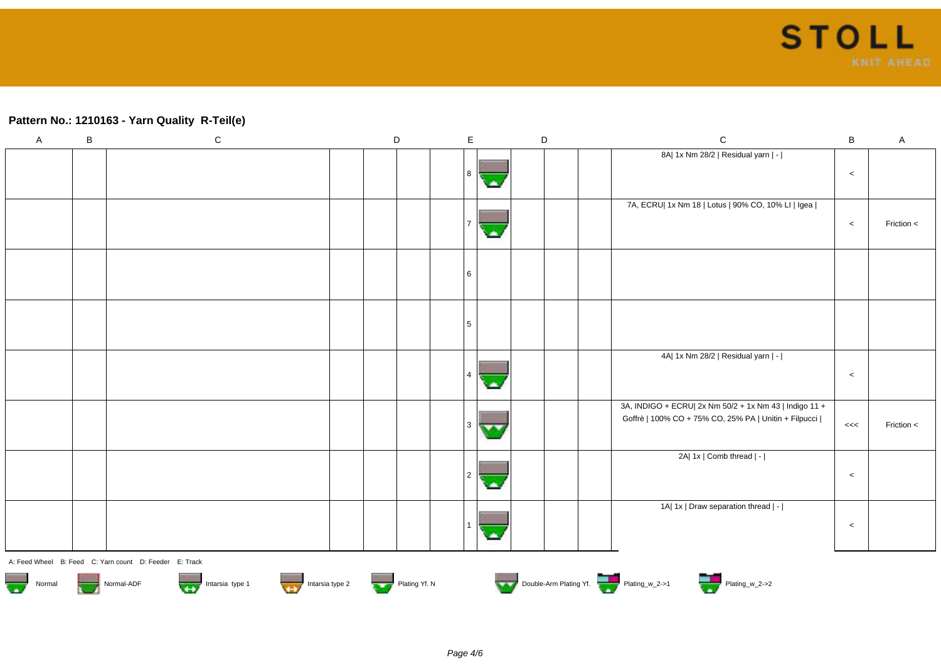### **Pattern No.: 1210163 - Yarn Quality R-Teil(e)**

| $\mathsf{A}$                      | B | ${\bf C}$                                              | $\mathsf D$   | $\mathsf E$ | D | $\mathsf C$                                                                                                     | $\sf{B}$ | $\mathsf{A}$ |
|-----------------------------------|---|--------------------------------------------------------|---------------|-------------|---|-----------------------------------------------------------------------------------------------------------------|----------|--------------|
|                                   |   |                                                        |               | 8 ا<br>×    |   | 8A  1x Nm 28/2   Residual yarn   -                                                                              | $\,<$    |              |
|                                   |   |                                                        |               | ما          |   | 7A, ECRU  1x Nm 18   Lotus   90% CO, 10% LI   Igea                                                              | $\,<$    | Friction <   |
|                                   |   |                                                        |               | 16          |   |                                                                                                                 |          |              |
|                                   |   |                                                        |               | 5           |   |                                                                                                                 |          |              |
|                                   |   |                                                        |               | <b>als</b>  |   | 4A  1x Nm 28/2   Residual yarn   -                                                                              | $\,<$    |              |
|                                   |   |                                                        |               |             |   | 3A, INDIGO + ECRU  2x Nm 50/2 + 1x Nm 43   Indigo 11 +<br>Goffrè   100% CO + 75% CO, 25% PA   Unitin + Filpucci | <<       | Friction <   |
|                                   |   |                                                        |               | 2<br>als.   |   | 2A  1x   Comb thread   -                                                                                        | $\,<$    |              |
|                                   |   |                                                        |               |             |   | 1A  1x   Draw separation thread   -                                                                             | $\,<\,$  |              |
|                                   |   | A: Feed Wheel B: Feed C: Yarn count D: Feeder E: Track |               |             |   |                                                                                                                 |          |              |
| $\overline{\mathbf{v}}$<br>Normal |   | Intarsia type 1<br>Intarsia type 2<br>Normal-ADF       | Plating Yf. N |             |   | Double-Arm Plating Yf.                                                                                          |          |              |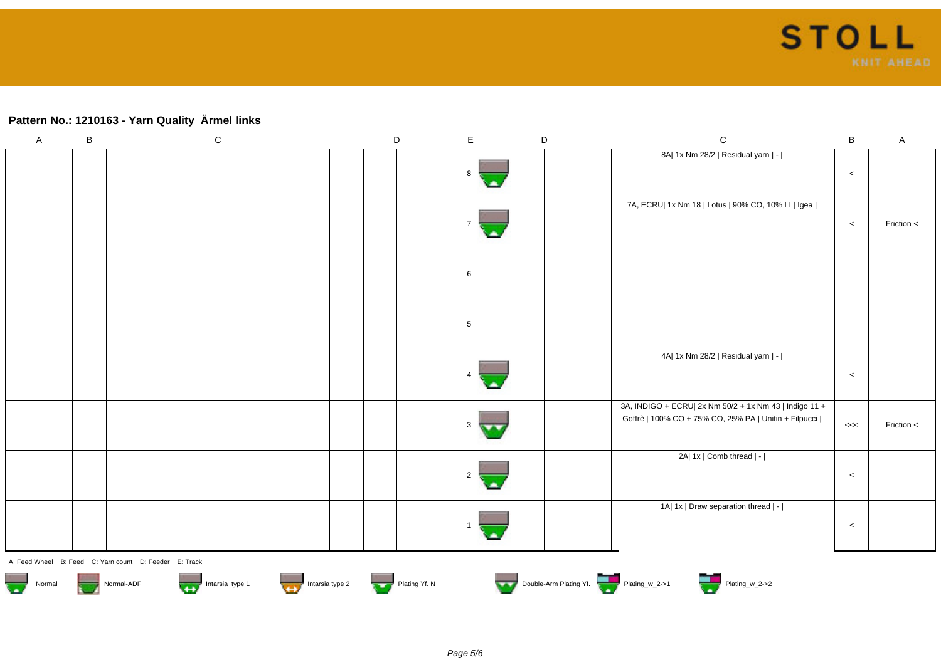# **Pattern No.: 1210163 - Yarn Quality Ärmel links**

| $\mathsf{A}$                                                                                    | B | ${\bf C}$ |  | $\mathsf D$ | $\mathsf E$                  |  | $\mathsf D$ |  | ${\bf C}$                                                                                                       | $\sf B$ | A          |
|-------------------------------------------------------------------------------------------------|---|-----------|--|-------------|------------------------------|--|-------------|--|-----------------------------------------------------------------------------------------------------------------|---------|------------|
|                                                                                                 |   |           |  |             | 8                            |  |             |  | 8A  1x Nm 28/2   Residual yarn   -                                                                              | $\,<$   |            |
|                                                                                                 |   |           |  |             |                              |  |             |  | 7A, ECRU  1x Nm 18   Lotus   90% CO, 10% LI   Igea                                                              | $\,<$   | Friction < |
|                                                                                                 |   |           |  |             | 6                            |  |             |  |                                                                                                                 |         |            |
|                                                                                                 |   |           |  |             | 5                            |  |             |  |                                                                                                                 |         |            |
|                                                                                                 |   |           |  |             | 4<br>٠                       |  |             |  | 4A  1x Nm 28/2   Residual yarn   -                                                                              | $\,<$   |            |
|                                                                                                 |   |           |  |             | 3<br>$\overline{\mathbf{A}}$ |  |             |  | 3A, INDIGO + ECRU  2x Nm 50/2 + 1x Nm 43   Indigo 11 +<br>Goffrè   100% CO + 75% CO, 25% PA   Unitin + Filpucci | <<      | Friction < |
|                                                                                                 |   |           |  |             | $\overline{2}$<br>ڪ          |  |             |  | 2A  1x   Comb thread   -                                                                                        | $\,<\,$ |            |
|                                                                                                 |   |           |  |             |                              |  |             |  | 1A  1x   Draw separation thread   -                                                                             | $\,<$   |            |
| A: Feed Wheel B: Feed C: Yarn count D: Feeder E: Track                                          |   |           |  |             |                              |  |             |  |                                                                                                                 |         |            |
| Double-Arm Plating Yf.<br>Intarsia type 1 Intarsia type 2 Plating Yf. N<br>Normal-ADF<br>Normal |   |           |  |             |                              |  |             |  |                                                                                                                 |         |            |